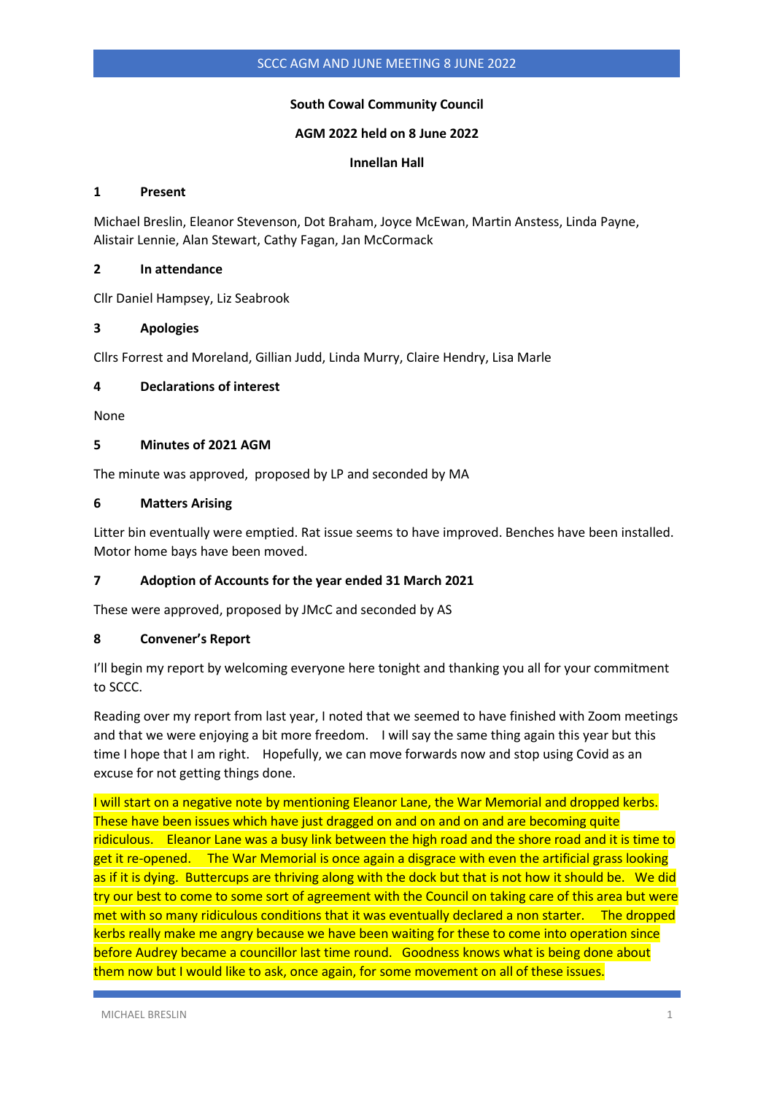# **South Cowal Community Council**

### **AGM 2022 held on 8 June 2022**

**Innellan Hall**

### **1 Present**

Michael Breslin, Eleanor Stevenson, Dot Braham, Joyce McEwan, Martin Anstess, Linda Payne, Alistair Lennie, Alan Stewart, Cathy Fagan, Jan McCormack

### **2 In attendance**

Cllr Daniel Hampsey, Liz Seabrook

### **3 Apologies**

Cllrs Forrest and Moreland, Gillian Judd, Linda Murry, Claire Hendry, Lisa Marle

## **4 Declarations of interest**

None

### **5 Minutes of 2021 AGM**

The minute was approved, proposed by LP and seconded by MA

### **6 Matters Arising**

Litter bin eventually were emptied. Rat issue seems to have improved. Benches have been installed. Motor home bays have been moved.

## **7 Adoption of Accounts for the year ended 31 March 2021**

These were approved, proposed by JMcC and seconded by AS

## **8 Convener's Report**

I'll begin my report by welcoming everyone here tonight and thanking you all for your commitment to SCCC.

Reading over my report from last year, I noted that we seemed to have finished with Zoom meetings and that we were enjoying a bit more freedom. I will say the same thing again this year but this time I hope that I am right. Hopefully, we can move forwards now and stop using Covid as an excuse for not getting things done.

I will start on a negative note by mentioning Eleanor Lane, the War Memorial and dropped kerbs. These have been issues which have just dragged on and on and on and are becoming quite ridiculous. Eleanor Lane was a busy link between the high road and the shore road and it is time to get it re-opened. The War Memorial is once again a disgrace with even the artificial grass looking as if it is dying. Buttercups are thriving along with the dock but that is not how it should be. We did try our best to come to some sort of agreement with the Council on taking care of this area but were met with so many ridiculous conditions that it was eventually declared a non starter. The dropped kerbs really make me angry because we have been waiting for these to come into operation since before Audrey became a councillor last time round. Goodness knows what is being done about them now but I would like to ask, once again, for some movement on all of these issues.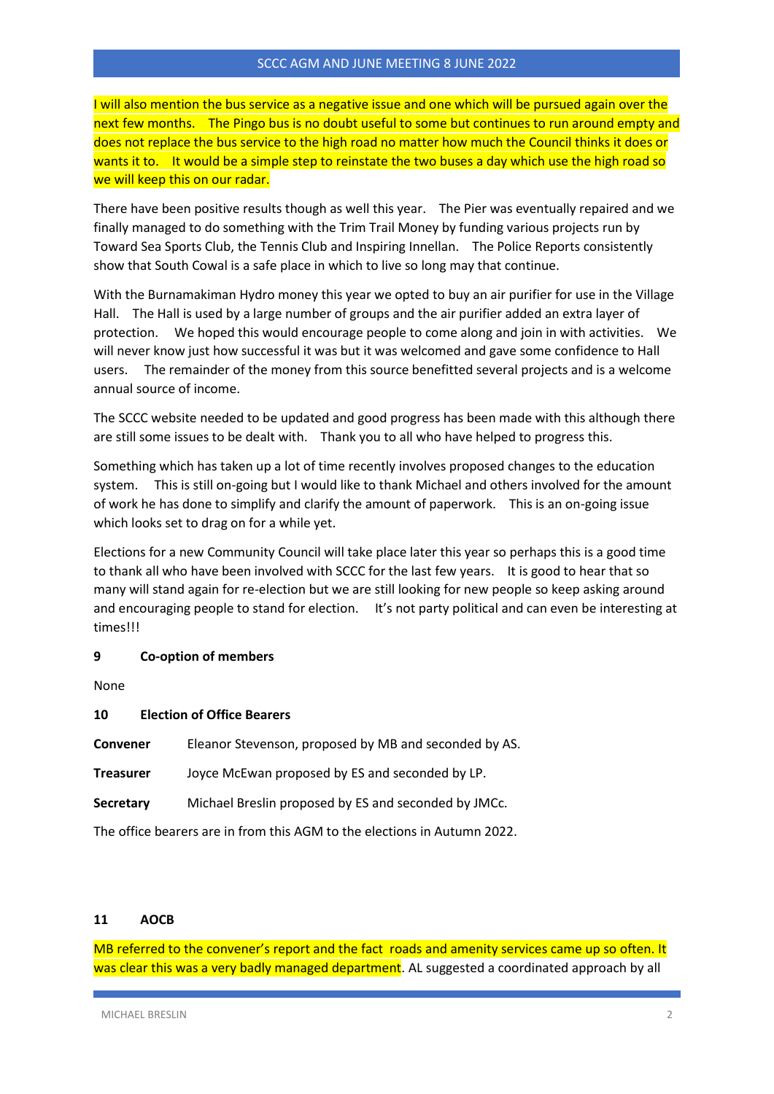I will also mention the bus service as a negative issue and one which will be pursued again over the next few months. The Pingo bus is no doubt useful to some but continues to run around empty and does not replace the bus service to the high road no matter how much the Council thinks it does or wants it to. It would be a simple step to reinstate the two buses a day which use the high road so we will keep this on our radar.

There have been positive results though as well this year. The Pier was eventually repaired and we finally managed to do something with the Trim Trail Money by funding various projects run by Toward Sea Sports Club, the Tennis Club and Inspiring Innellan. The Police Reports consistently show that South Cowal is a safe place in which to live so long may that continue.

With the Burnamakiman Hydro money this year we opted to buy an air purifier for use in the Village Hall. The Hall is used by a large number of groups and the air purifier added an extra layer of protection. We hoped this would encourage people to come along and join in with activities. We will never know just how successful it was but it was welcomed and gave some confidence to Hall users. The remainder of the money from this source benefitted several projects and is a welcome annual source of income.

The SCCC website needed to be updated and good progress has been made with this although there are still some issues to be dealt with. Thank you to all who have helped to progress this.

Something which has taken up a lot of time recently involves proposed changes to the education system. This is still on-going but I would like to thank Michael and others involved for the amount of work he has done to simplify and clarify the amount of paperwork. This is an on-going issue which looks set to drag on for a while yet.

Elections for a new Community Council will take place later this year so perhaps this is a good time to thank all who have been involved with SCCC for the last few years. It is good to hear that so many will stand again for re-election but we are still looking for new people so keep asking around and encouraging people to stand for election. It's not party political and can even be interesting at times!!!

## **9 Co-option of members**

None

## **10 Election of Office Bearers**

**Convener** Eleanor Stevenson, proposed by MB and seconded by AS.

**Treasurer** Joyce McEwan proposed by ES and seconded by LP.

**Secretary** Michael Breslin proposed by ES and seconded by JMCc.

The office bearers are in from this AGM to the elections in Autumn 2022.

## **11 AOCB**

MB referred to the convener's report and the fact roads and amenity services came up so often. It was clear this was a very badly managed department. AL suggested a coordinated approach by all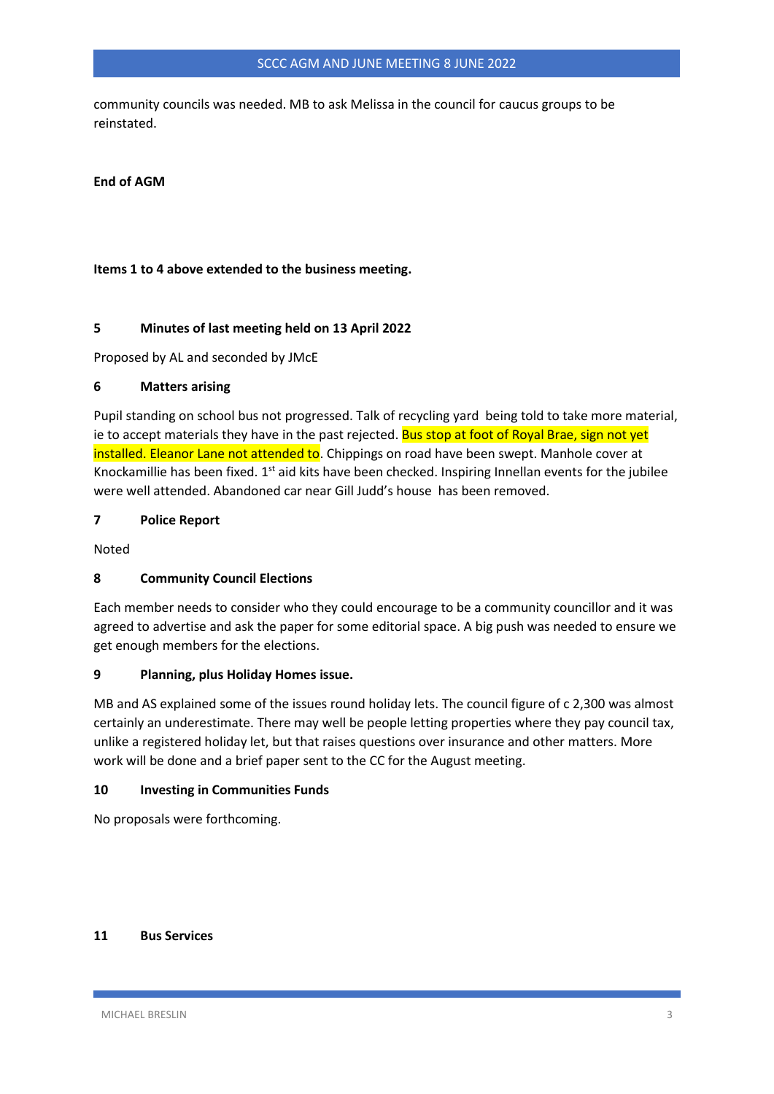## SCCC AGM AND JUNE MEETING 8 JUNE 2022

community councils was needed. MB to ask Melissa in the council for caucus groups to be reinstated.

### **End of AGM**

### **Items 1 to 4 above extended to the business meeting.**

#### **5 Minutes of last meeting held on 13 April 2022**

Proposed by AL and seconded by JMcE

#### **6 Matters arising**

Pupil standing on school bus not progressed. Talk of recycling yard being told to take more material, ie to accept materials they have in the past rejected. Bus stop at foot of Royal Brae, sign not yet installed. Eleanor Lane not attended to. Chippings on road have been swept. Manhole cover at Knockamillie has been fixed. 1<sup>st</sup> aid kits have been checked. Inspiring Innellan events for the jubilee were well attended. Abandoned car near Gill Judd's house has been removed.

### **7 Police Report**

Noted

## **8 Community Council Elections**

Each member needs to consider who they could encourage to be a community councillor and it was agreed to advertise and ask the paper for some editorial space. A big push was needed to ensure we get enough members for the elections.

#### **9 Planning, plus Holiday Homes issue.**

MB and AS explained some of the issues round holiday lets. The council figure of c 2,300 was almost certainly an underestimate. There may well be people letting properties where they pay council tax, unlike a registered holiday let, but that raises questions over insurance and other matters. More work will be done and a brief paper sent to the CC for the August meeting.

#### **10 Investing in Communities Funds**

No proposals were forthcoming.

# **11 Bus Services**